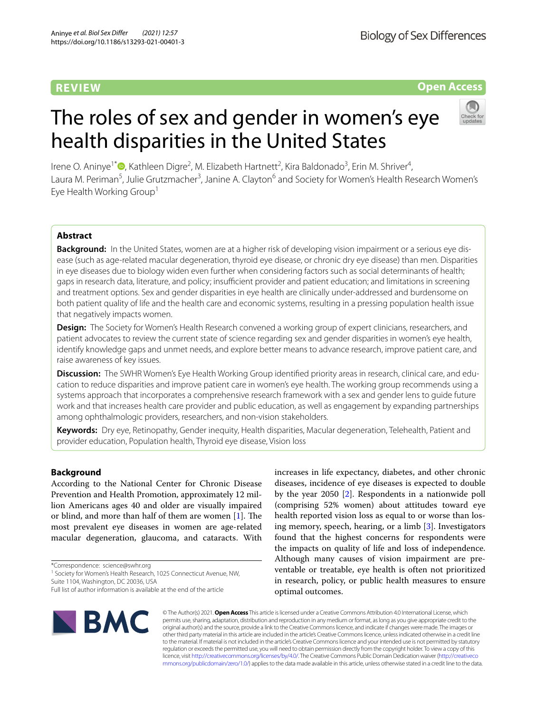# **REVIEW**

**Biology of Sex Differences** 

# **Open Access**

Irene O. Aninye<sup>1\*</sup><sup>®</sup>[,](http://orcid.org/0000-0002-1747-9148) Kathleen Digre<sup>2</sup>, M. Elizabeth Hartnett<sup>2</sup>, Kira Baldonado<sup>3</sup>, Erin M. Shriver<sup>4</sup>, Laura M. Periman<sup>5</sup>, Julie Grutzmacher<sup>3</sup>, Janine A. Clayton<sup>6</sup> and Society for Women's Health Research Women's Eye Health Working Group<sup>1</sup>

The roles of sex and gender in women's eye

health disparities in the United States

# **Abstract**

**Background:** In the United States, women are at a higher risk of developing vision impairment or a serious eye disease (such as age-related macular degeneration, thyroid eye disease, or chronic dry eye disease) than men. Disparities in eye diseases due to biology widen even further when considering factors such as social determinants of health; gaps in research data, literature, and policy; insufficient provider and patient education; and limitations in screening and treatment options. Sex and gender disparities in eye health are clinically under-addressed and burdensome on both patient quality of life and the health care and economic systems, resulting in a pressing population health issue that negatively impacts women.

**Design:** The Society for Women's Health Research convened a working group of expert clinicians, researchers, and patient advocates to review the current state of science regarding sex and gender disparities in women's eye health, identify knowledge gaps and unmet needs, and explore better means to advance research, improve patient care, and raise awareness of key issues.

**Discussion:** The SWHR Women's Eye Health Working Group identifed priority areas in research, clinical care, and education to reduce disparities and improve patient care in women's eye health. The working group recommends using a systems approach that incorporates a comprehensive research framework with a sex and gender lens to guide future work and that increases health care provider and public education, as well as engagement by expanding partnerships among ophthalmologic providers, researchers, and non-vision stakeholders.

**Keywords:** Dry eye, Retinopathy, Gender inequity, Health disparities, Macular degeneration, Telehealth, Patient and provider education, Population health, Thyroid eye disease, Vision loss

### **Background**

According to the National Center for Chronic Disease Prevention and Health Promotion, approximately 12 million Americans ages 40 and older are visually impaired or blind, and more than half of them are women  $[1]$ . The most prevalent eye diseases in women are age-related macular degeneration, glaucoma, and cataracts. With

\*Correspondence: science@swhr.org

<sup>1</sup> Society for Women's Health Research, 1025 Connecticut Avenue, NW, Suite 1104, Washington, DC 20036, USA

increases in life expectancy, diabetes, and other chronic diseases, incidence of eye diseases is expected to double by the year 2050 [[2\]](#page-6-1). Respondents in a nationwide poll (comprising 52% women) about attitudes toward eye health reported vision loss as equal to or worse than losing memory, speech, hearing, or a limb  $[3]$  $[3]$ . Investigators found that the highest concerns for respondents were the impacts on quality of life and loss of independence. Although many causes of vision impairment are preventable or treatable, eye health is often not prioritized in research, policy, or public health measures to ensure optimal outcomes.



© The Author(s) 2021. **Open Access** This article is licensed under a Creative Commons Attribution 4.0 International License, which permits use, sharing, adaptation, distribution and reproduction in any medium or format, as long as you give appropriate credit to the original author(s) and the source, provide a link to the Creative Commons licence, and indicate if changes were made. The images or other third party material in this article are included in the article's Creative Commons licence, unless indicated otherwise in a credit line to the material. If material is not included in the article's Creative Commons licence and your intended use is not permitted by statutory regulation or exceeds the permitted use, you will need to obtain permission directly from the copyright holder. To view a copy of this licence, visit [http://creativecommons.org/licenses/by/4.0/.](http://creativecommons.org/licenses/by/4.0/) The Creative Commons Public Domain Dedication waiver ([http://creativeco](http://creativecommons.org/publicdomain/zero/1.0/) [mmons.org/publicdomain/zero/1.0/](http://creativecommons.org/publicdomain/zero/1.0/)) applies to the data made available in this article, unless otherwise stated in a credit line to the data.

Full list of author information is available at the end of the article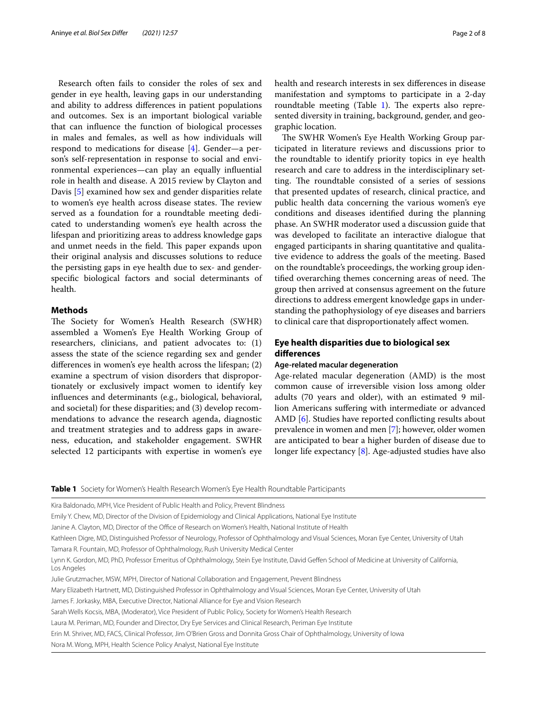Research often fails to consider the roles of sex and gender in eye health, leaving gaps in our understanding and ability to address diferences in patient populations and outcomes. Sex is an important biological variable that can infuence the function of biological processes in males and females, as well as how individuals will respond to medications for disease [[4](#page-6-3)]. Gender—a person's self-representation in response to social and environmental experiences—can play an equally infuential role in health and disease. A 2015 review by Clayton and Davis [\[5](#page-6-4)] examined how sex and gender disparities relate to women's eye health across disease states. The review served as a foundation for a roundtable meeting dedicated to understanding women's eye health across the lifespan and prioritizing areas to address knowledge gaps and unmet needs in the field. This paper expands upon their original analysis and discusses solutions to reduce the persisting gaps in eye health due to sex- and genderspecifc biological factors and social determinants of health.

#### **Methods**

The Society for Women's Health Research (SWHR) assembled a Women's Eye Health Working Group of researchers, clinicians, and patient advocates to: (1) assess the state of the science regarding sex and gender diferences in women's eye health across the lifespan; (2) examine a spectrum of vision disorders that disproportionately or exclusively impact women to identify key infuences and determinants (e.g., biological, behavioral, and societal) for these disparities; and (3) develop recommendations to advance the research agenda, diagnostic and treatment strategies and to address gaps in awareness, education, and stakeholder engagement. SWHR selected 12 participants with expertise in women's eye health and research interests in sex diferences in disease manifestation and symptoms to participate in a 2-day roundtable meeting (Table  $1$ ). The experts also represented diversity in training, background, gender, and geographic location.

The SWHR Women's Eye Health Working Group participated in literature reviews and discussions prior to the roundtable to identify priority topics in eye health research and care to address in the interdisciplinary setting. The roundtable consisted of a series of sessions that presented updates of research, clinical practice, and public health data concerning the various women's eye conditions and diseases identifed during the planning phase. An SWHR moderator used a discussion guide that was developed to facilitate an interactive dialogue that engaged participants in sharing quantitative and qualitative evidence to address the goals of the meeting. Based on the roundtable's proceedings, the working group identified overarching themes concerning areas of need. The group then arrived at consensus agreement on the future directions to address emergent knowledge gaps in understanding the pathophysiology of eye diseases and barriers to clinical care that disproportionately afect women.

## **Eye health disparities due to biological sex diferences**

#### **Age‑related macular degeneration**

Age-related macular degeneration (AMD) is the most common cause of irreversible vision loss among older adults (70 years and older), with an estimated 9 million Americans sufering with intermediate or advanced AMD [\[6](#page-6-5)]. Studies have reported conficting results about prevalence in women and men [\[7](#page-6-6)]; however, older women are anticipated to bear a higher burden of disease due to longer life expectancy [\[8](#page-6-7)]. Age-adjusted studies have also

<span id="page-1-0"></span>**Table 1** Society for Women's Health Research Women's Eye Health Roundtable Participants

Kira Baldonado, MPH, Vice President of Public Health and Policy, Prevent Blindness

Emily Y. Chew, MD, Director of the Division of Epidemiology and Clinical Applications, National Eye Institute

Janine A. Clayton, MD, Director of the Office of Research on Women's Health, National Institute of Health

Kathleen Digre, MD, Distinguished Professor of Neurology, Professor of Ophthalmology and Visual Sciences, Moran Eye Center, University of Utah Tamara R. Fountain, MD, Professor of Ophthalmology, Rush University Medical Center

Lynn K. Gordon, MD, PhD, Professor Emeritus of Ophthalmology, Stein Eye Institute, David Gefen School of Medicine at University of California, Los Angeles

Julie Grutzmacher, MSW, MPH, Director of National Collaboration and Engagement, Prevent Blindness

Mary Elizabeth Hartnett, MD, Distinguished Professor in Ophthalmology and Visual Sciences, Moran Eye Center, University of Utah

James F. Jorkasky, MBA, Executive Director, National Alliance for Eye and Vision Research

Sarah Wells Kocsis, MBA, (Moderator), Vice President of Public Policy, Society for Women's Health Research

Laura M. Periman, MD, Founder and Director, Dry Eye Services and Clinical Research, Periman Eye Institute

Erin M. Shriver, MD, FACS, Clinical Professor, Jim O'Brien Gross and Donnita Gross Chair of Ophthalmology, University of Iowa

Nora M. Wong, MPH, Health Science Policy Analyst, National Eye Institute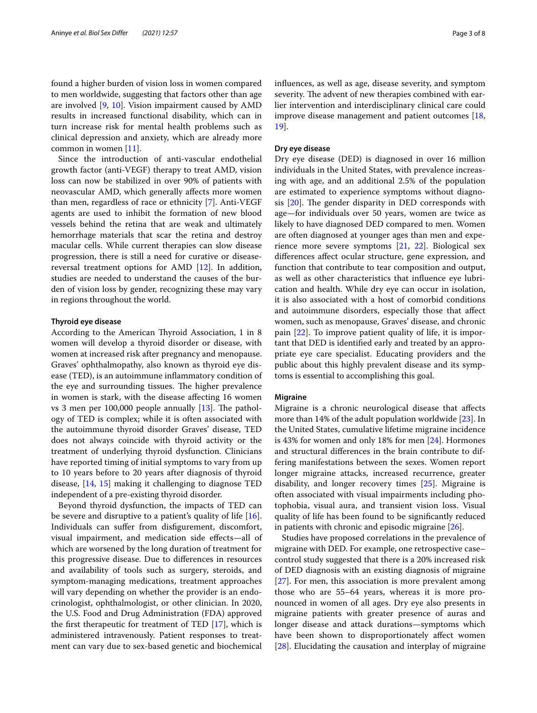found a higher burden of vision loss in women compared to men worldwide, suggesting that factors other than age are involved [\[9](#page-6-8), [10\]](#page-6-9). Vision impairment caused by AMD results in increased functional disability, which can in turn increase risk for mental health problems such as clinical depression and anxiety, which are already more common in women [[11\]](#page-6-10).

Since the introduction of anti-vascular endothelial growth factor (anti-VEGF) therapy to treat AMD, vision loss can now be stabilized in over 90% of patients with neovascular AMD, which generally afects more women than men, regardless of race or ethnicity [[7\]](#page-6-6). Anti-VEGF agents are used to inhibit the formation of new blood vessels behind the retina that are weak and ultimately hemorrhage materials that scar the retina and destroy macular cells. While current therapies can slow disease progression, there is still a need for curative or diseasereversal treatment options for AMD [\[12\]](#page-6-11). In addition, studies are needed to understand the causes of the burden of vision loss by gender, recognizing these may vary in regions throughout the world.

#### **Thyroid eye disease**

According to the American Thyroid Association, 1 in 8 women will develop a thyroid disorder or disease, with women at increased risk after pregnancy and menopause. Graves' ophthalmopathy, also known as thyroid eye disease (TED), is an autoimmune infammatory condition of the eye and surrounding tissues. The higher prevalence in women is stark, with the disease afecting 16 women vs 3 men per 100,000 people annually  $[13]$  $[13]$ . The pathology of TED is complex; while it is often associated with the autoimmune thyroid disorder Graves' disease, TED does not always coincide with thyroid activity or the treatment of underlying thyroid dysfunction. Clinicians have reported timing of initial symptoms to vary from up to 10 years before to 20 years after diagnosis of thyroid disease, [[14,](#page-6-13) [15](#page-6-14)] making it challenging to diagnose TED independent of a pre-existing thyroid disorder.

Beyond thyroid dysfunction, the impacts of TED can be severe and disruptive to a patient's quality of life [\[16](#page-6-15)]. Individuals can sufer from disfgurement, discomfort, visual impairment, and medication side efects—all of which are worsened by the long duration of treatment for this progressive disease. Due to diferences in resources and availability of tools such as surgery, steroids, and symptom-managing medications, treatment approaches will vary depending on whether the provider is an endocrinologist, ophthalmologist, or other clinician. In 2020, the U.S. Food and Drug Administration (FDA) approved the frst therapeutic for treatment of TED [[17\]](#page-6-16), which is administered intravenously. Patient responses to treatment can vary due to sex-based genetic and biochemical infuences, as well as age, disease severity, and symptom severity. The advent of new therapies combined with earlier intervention and interdisciplinary clinical care could improve disease management and patient outcomes [[18](#page-6-17), [19\]](#page-6-18).

#### **Dry eye disease**

Dry eye disease (DED) is diagnosed in over 16 million individuals in the United States, with prevalence increasing with age, and an additional 2.5% of the population are estimated to experience symptoms without diagnosis  $[20]$  $[20]$ . The gender disparity in DED corresponds with age—for individuals over 50 years, women are twice as likely to have diagnosed DED compared to men. Women are often diagnosed at younger ages than men and experience more severe symptoms [[21,](#page-6-20) [22\]](#page-6-21). Biological sex diferences afect ocular structure, gene expression, and function that contribute to tear composition and output, as well as other characteristics that infuence eye lubrication and health. While dry eye can occur in isolation, it is also associated with a host of comorbid conditions and autoimmune disorders, especially those that afect women, such as menopause, Graves' disease, and chronic pain [\[22\]](#page-6-21). To improve patient quality of life, it is important that DED is identifed early and treated by an appropriate eye care specialist. Educating providers and the public about this highly prevalent disease and its symptoms is essential to accomplishing this goal.

#### **Migraine**

Migraine is a chronic neurological disease that afects more than 14% of the adult population worldwide [\[23](#page-7-0)]. In the United States, cumulative lifetime migraine incidence is 43% for women and only 18% for men [[24\]](#page-7-1). Hormones and structural diferences in the brain contribute to differing manifestations between the sexes. Women report longer migraine attacks, increased recurrence, greater disability, and longer recovery times [[25\]](#page-7-2). Migraine is often associated with visual impairments including photophobia, visual aura, and transient vision loss. Visual quality of life has been found to be signifcantly reduced in patients with chronic and episodic migraine [[26\]](#page-7-3).

Studies have proposed correlations in the prevalence of migraine with DED. For example, one retrospective case– control study suggested that there is a 20% increased risk of DED diagnosis with an existing diagnosis of migraine [[27\]](#page-7-4). For men, this association is more prevalent among those who are 55–64 years, whereas it is more pronounced in women of all ages. Dry eye also presents in migraine patients with greater presence of auras and longer disease and attack durations—symptoms which have been shown to disproportionately afect women [[28\]](#page-7-5). Elucidating the causation and interplay of migraine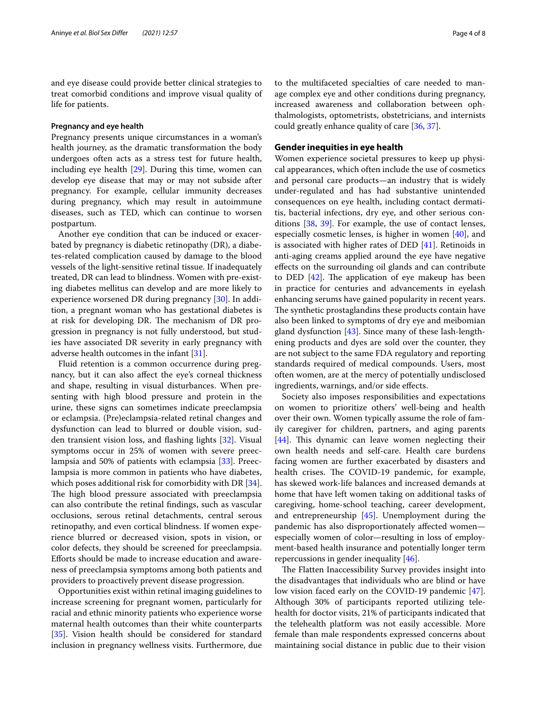and eye disease could provide better clinical strategies to treat comorbid conditions and improve visual quality of life for patients.

#### **Pregnancy and eye health**

Pregnancy presents unique circumstances in a woman's health journey, as the dramatic transformation the body undergoes often acts as a stress test for future health, including eye health [[29\]](#page-7-6). During this time, women can develop eye disease that may or may not subside after pregnancy. For example, cellular immunity decreases during pregnancy, which may result in autoimmune diseases, such as TED, which can continue to worsen postpartum.

Another eye condition that can be induced or exacerbated by pregnancy is diabetic retinopathy (DR), a diabetes-related complication caused by damage to the blood vessels of the light-sensitive retinal tissue. If inadequately treated, DR can lead to blindness. Women with pre-existing diabetes mellitus can develop and are more likely to experience worsened DR during pregnancy [\[30\]](#page-7-7). In addition, a pregnant woman who has gestational diabetes is at risk for developing DR. The mechanism of DR progression in pregnancy is not fully understood, but studies have associated DR severity in early pregnancy with adverse health outcomes in the infant [\[31\]](#page-7-8).

Fluid retention is a common occurrence during pregnancy, but it can also afect the eye's corneal thickness and shape, resulting in visual disturbances. When presenting with high blood pressure and protein in the urine, these signs can sometimes indicate preeclampsia or eclampsia. (Pre)eclampsia-related retinal changes and dysfunction can lead to blurred or double vision, sudden transient vision loss, and fashing lights [[32\]](#page-7-9). Visual symptoms occur in 25% of women with severe preeclampsia and 50% of patients with eclampsia [[33\]](#page-7-10). Preeclampsia is more common in patients who have diabetes, which poses additional risk for comorbidity with DR [\[34](#page-7-11)]. The high blood pressure associated with preeclampsia can also contribute the retinal fndings, such as vascular occlusions, serous retinal detachments, central serous retinopathy, and even cortical blindness. If women experience blurred or decreased vision, spots in vision, or color defects, they should be screened for preeclampsia. Eforts should be made to increase education and awareness of preeclampsia symptoms among both patients and providers to proactively prevent disease progression.

Opportunities exist within retinal imaging guidelines to increase screening for pregnant women, particularly for racial and ethnic minority patients who experience worse maternal health outcomes than their white counterparts [[35\]](#page-7-12). Vision health should be considered for standard inclusion in pregnancy wellness visits. Furthermore, due to the multifaceted specialties of care needed to manage complex eye and other conditions during pregnancy, increased awareness and collaboration between ophthalmologists, optometrists, obstetricians, and internists could greatly enhance quality of care [\[36](#page-7-13), [37](#page-7-14)].

#### **Gender inequities in eye health**

Women experience societal pressures to keep up physical appearances, which often include the use of cosmetics and personal care products—an industry that is widely under-regulated and has had substantive unintended consequences on eye health, including contact dermatitis, bacterial infections, dry eye, and other serious conditions [[38,](#page-7-15) [39](#page-7-16)]. For example, the use of contact lenses, especially cosmetic lenses, is higher in women [[40\]](#page-7-17), and is associated with higher rates of DED [\[41](#page-7-18)]. Retinoids in anti-aging creams applied around the eye have negative efects on the surrounding oil glands and can contribute to DED  $[42]$  $[42]$ . The application of eye makeup has been in practice for centuries and advancements in eyelash enhancing serums have gained popularity in recent years. The synthetic prostaglandins these products contain have also been linked to symptoms of dry eye and meibomian gland dysfunction  $[43]$  $[43]$ . Since many of these lash-lengthening products and dyes are sold over the counter, they are not subject to the same FDA regulatory and reporting standards required of medical compounds. Users, most often women, are at the mercy of potentially undisclosed ingredients, warnings, and/or side efects.

Society also imposes responsibilities and expectations on women to prioritize others' well-being and health over their own. Women typically assume the role of family caregiver for children, partners, and aging parents [[44\]](#page-7-21). This dynamic can leave women neglecting their own health needs and self-care. Health care burdens facing women are further exacerbated by disasters and health crises. The COVID-19 pandemic, for example, has skewed work-life balances and increased demands at home that have left women taking on additional tasks of caregiving, home-school teaching, career development, and entrepreneurship [[45\]](#page-7-22). Unemployment during the pandemic has also disproportionately afected women especially women of color—resulting in loss of employment-based health insurance and potentially longer term repercussions in gender inequality [\[46](#page-7-23)].

The Flatten Inaccessibility Survey provides insight into the disadvantages that individuals who are blind or have low vision faced early on the COVID-19 pandemic [\[47](#page-7-24)]. Although 30% of participants reported utilizing telehealth for doctor visits, 21% of participants indicated that the telehealth platform was not easily accessible. More female than male respondents expressed concerns about maintaining social distance in public due to their vision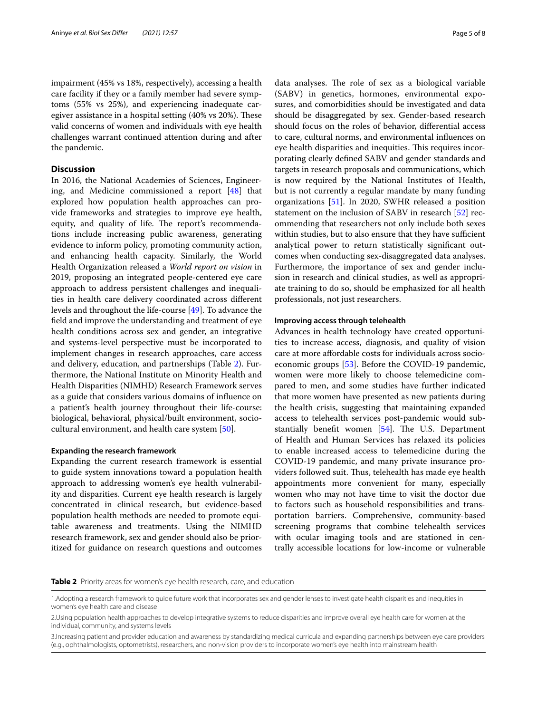impairment (45% vs 18%, respectively), accessing a health care facility if they or a family member had severe symptoms (55% vs 25%), and experiencing inadequate caregiver assistance in a hospital setting (40% vs 20%). These valid concerns of women and individuals with eye health challenges warrant continued attention during and after the pandemic.

### **Discussion**

In 2016, the National Academies of Sciences, Engineering, and Medicine commissioned a report [\[48](#page-7-25)] that explored how population health approaches can provide frameworks and strategies to improve eye health, equity, and quality of life. The report's recommendations include increasing public awareness, generating evidence to inform policy, promoting community action, and enhancing health capacity. Similarly, the World Health Organization released a *World report on vision* in 2019, proposing an integrated people-centered eye care approach to address persistent challenges and inequalities in health care delivery coordinated across diferent levels and throughout the life-course [[49](#page-7-26)]. To advance the feld and improve the understanding and treatment of eye health conditions across sex and gender, an integrative and systems-level perspective must be incorporated to implement changes in research approaches, care access and delivery, education, and partnerships (Table [2\)](#page-4-0). Furthermore, the National Institute on Minority Health and Health Disparities (NIMHD) Research Framework serves as a guide that considers various domains of infuence on a patient's health journey throughout their life-course: biological, behavioral, physical/built environment, sociocultural environment, and health care system [\[50](#page-7-27)].

#### **Expanding the research framework**

Expanding the current research framework is essential to guide system innovations toward a population health approach to addressing women's eye health vulnerability and disparities. Current eye health research is largely concentrated in clinical research, but evidence-based population health methods are needed to promote equitable awareness and treatments. Using the NIMHD research framework, sex and gender should also be prioritized for guidance on research questions and outcomes

data analyses. The role of sex as a biological variable (SABV) in genetics, hormones, environmental exposures, and comorbidities should be investigated and data should be disaggregated by sex. Gender-based research should focus on the roles of behavior, diferential access to care, cultural norms, and environmental infuences on eye health disparities and inequities. This requires incorporating clearly defned SABV and gender standards and targets in research proposals and communications, which is now required by the National Institutes of Health, but is not currently a regular mandate by many funding organizations [\[51](#page-7-28)]. In 2020, SWHR released a position statement on the inclusion of SABV in research [[52\]](#page-7-29) recommending that researchers not only include both sexes within studies, but to also ensure that they have sufficient analytical power to return statistically signifcant outcomes when conducting sex-disaggregated data analyses. Furthermore, the importance of sex and gender inclusion in research and clinical studies, as well as appropriate training to do so, should be emphasized for all health professionals, not just researchers.

#### **Improving access through telehealth**

Advances in health technology have created opportunities to increase access, diagnosis, and quality of vision care at more afordable costs for individuals across socioeconomic groups [[53](#page-7-30)]. Before the COVID-19 pandemic, women were more likely to choose telemedicine compared to men, and some studies have further indicated that more women have presented as new patients during the health crisis, suggesting that maintaining expanded access to telehealth services post-pandemic would substantially benefit women  $[54]$  $[54]$ . The U.S. Department of Health and Human Services has relaxed its policies to enable increased access to telemedicine during the COVID-19 pandemic, and many private insurance providers followed suit. Thus, telehealth has made eye health appointments more convenient for many, especially women who may not have time to visit the doctor due to factors such as household responsibilities and transportation barriers. Comprehensive, community-based screening programs that combine telehealth services with ocular imaging tools and are stationed in centrally accessible locations for low-income or vulnerable

<span id="page-4-0"></span>**Table 2** Priority areas for women's eye health research, care, and education

<sup>1.</sup>Adopting a research framework to guide future work that incorporates sex and gender lenses to investigate health disparities and inequities in women's eye health care and disease

<sup>2.</sup>Using population health approaches to develop integrative systems to reduce disparities and improve overall eye health care for women at the individual, community, and systems levels

<sup>3.</sup>Increasing patient and provider education and awareness by standardizing medical curricula and expanding partnerships between eye care providers (e.g., ophthalmologists, optometrists), researchers, and non-vision providers to incorporate women's eye health into mainstream health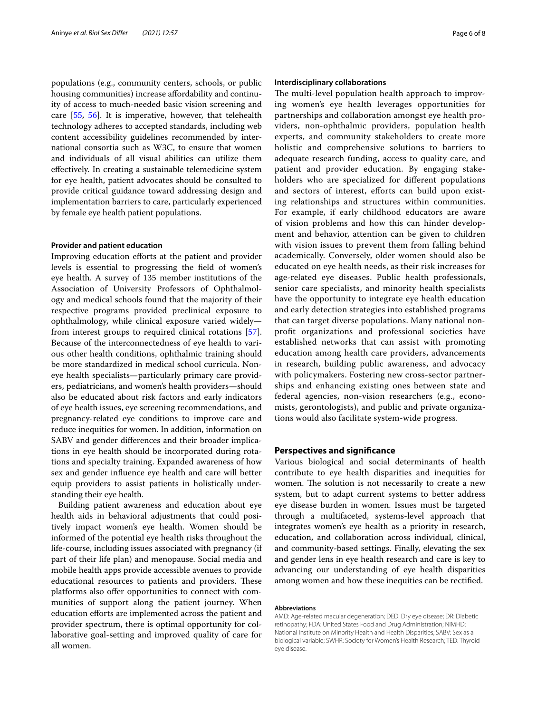populations (e.g., community centers, schools, or public housing communities) increase affordability and continuity of access to much-needed basic vision screening and care [\[55](#page-7-32), [56\]](#page-7-33). It is imperative, however, that telehealth technology adheres to accepted standards, including web content accessibility guidelines recommended by international consortia such as W3C, to ensure that women and individuals of all visual abilities can utilize them efectively. In creating a sustainable telemedicine system for eye health, patient advocates should be consulted to provide critical guidance toward addressing design and implementation barriers to care, particularly experienced by female eye health patient populations.

#### **Provider and patient education**

Improving education efforts at the patient and provider levels is essential to progressing the feld of women's eye health. A survey of 135 member institutions of the Association of University Professors of Ophthalmology and medical schools found that the majority of their respective programs provided preclinical exposure to ophthalmology, while clinical exposure varied widely from interest groups to required clinical rotations [\[57](#page-7-34)]. Because of the interconnectedness of eye health to various other health conditions, ophthalmic training should be more standardized in medical school curricula. Noneye health specialists—particularly primary care providers, pediatricians, and women's health providers—should also be educated about risk factors and early indicators of eye health issues, eye screening recommendations, and pregnancy-related eye conditions to improve care and reduce inequities for women. In addition, information on SABV and gender diferences and their broader implications in eye health should be incorporated during rotations and specialty training. Expanded awareness of how sex and gender infuence eye health and care will better equip providers to assist patients in holistically understanding their eye health.

Building patient awareness and education about eye health aids in behavioral adjustments that could positively impact women's eye health. Women should be informed of the potential eye health risks throughout the life-course, including issues associated with pregnancy (if part of their life plan) and menopause. Social media and mobile health apps provide accessible avenues to provide educational resources to patients and providers. These platforms also offer opportunities to connect with communities of support along the patient journey. When education efforts are implemented across the patient and provider spectrum, there is optimal opportunity for collaborative goal-setting and improved quality of care for all women.

#### **Interdisciplinary collaborations**

The multi-level population health approach to improving women's eye health leverages opportunities for partnerships and collaboration amongst eye health providers, non-ophthalmic providers, population health experts, and community stakeholders to create more holistic and comprehensive solutions to barriers to adequate research funding, access to quality care, and patient and provider education. By engaging stakeholders who are specialized for diferent populations and sectors of interest, efforts can build upon existing relationships and structures within communities. For example, if early childhood educators are aware of vision problems and how this can hinder development and behavior, attention can be given to children with vision issues to prevent them from falling behind academically. Conversely, older women should also be educated on eye health needs, as their risk increases for age-related eye diseases. Public health professionals, senior care specialists, and minority health specialists have the opportunity to integrate eye health education and early detection strategies into established programs that can target diverse populations. Many national nonproft organizations and professional societies have established networks that can assist with promoting education among health care providers, advancements in research, building public awareness, and advocacy with policymakers. Fostering new cross-sector partnerships and enhancing existing ones between state and federal agencies, non-vision researchers (e.g., economists, gerontologists), and public and private organizations would also facilitate system-wide progress.

#### **Perspectives and signifcance**

Various biological and social determinants of health contribute to eye health disparities and inequities for women. The solution is not necessarily to create a new system, but to adapt current systems to better address eye disease burden in women. Issues must be targeted through a multifaceted, systems-level approach that integrates women's eye health as a priority in research, education, and collaboration across individual, clinical, and community-based settings. Finally, elevating the sex and gender lens in eye health research and care is key to advancing our understanding of eye health disparities among women and how these inequities can be rectifed.

#### **Abbreviations**

AMD: Age-related macular degeneration; DED: Dry eye disease; DR: Diabetic retinopathy; FDA: United States Food and Drug Administration; NIMHD: National Institute on Minority Health and Health Disparities; SABV: Sex as a biological variable; SWHR: Society for Women's Health Research; TED: Thyroid eye disease.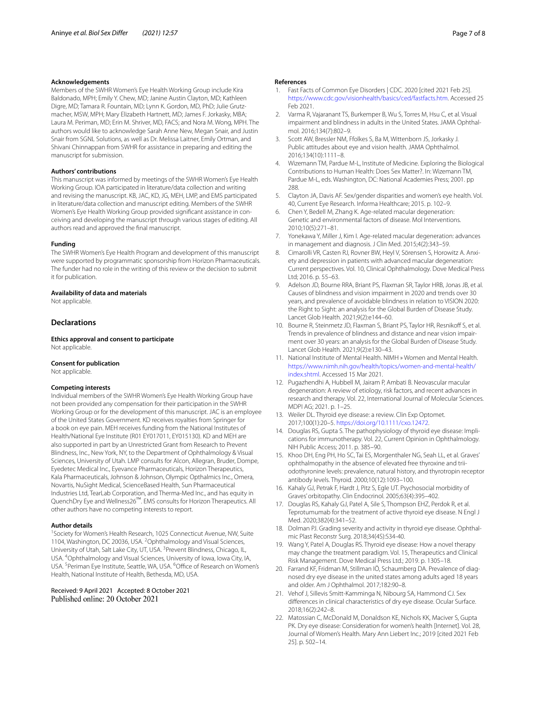#### **Acknowledgements**

Members of the SWHR Women's Eye Health Working Group include Kira Baldonado, MPH; Emily Y. Chew, MD; Janine Austin Clayton, MD; Kathleen Digre, MD; Tamara R. Fountain, MD; Lynn K. Gordon, MD, PhD; Julie Grutzmacher, MSW, MPH; Mary Elizabeth Hartnett, MD; James F. Jorkasky, MBA; Laura M. Periman, MD; Erin M. Shriver, MD, FACS; and Nora M. Wong, MPH. The authors would like to acknowledge Sarah Anne New, Megan Snair, and Justin Snair from SGNL Solutions, as well as Dr. Melissa Laitner, Emily Ortman, and Shivani Chinnappan from SWHR for assistance in preparing and editing the manuscript for submission.

#### **Authors' contributions**

This manuscript was informed by meetings of the SWHR Women's Eye Health Working Group. IOA participated in literature/data collection and writing and revising the manuscript. KB, JAC, KD, JG, MEH, LMP, and EMS participated in literature/data collection and manuscript editing. Members of the SWHR Women's Eye Health Working Group provided signifcant assistance in conceiving and developing the manuscript through various stages of editing. All authors read and approved the fnal manuscript.

#### **Funding**

The SWHR Women's Eye Health Program and development of this manuscript were supported by programmatic sponsorship from Horizon Pharmaceuticals. The funder had no role in the writing of this review or the decision to submit it for publication.

#### **Availability of data and materials**

Not applicable.

#### **Declarations**

**Ethics approval and consent to participate** Not applicable.

#### **Consent for publication**

Not applicable.

#### **Competing interests**

Individual members of the SWHR Women's Eye Health Working Group have not been provided any compensation for their participation in the SWHR Working Group or for the development of this manuscript. JAC is an employee of the United States Government. KD receives royalties from Springer for a book on eye pain. MEH receives funding from the National Institutes of Health/National Eye Institute (R01 EY017011, EY015130). KD and MEH are also supported in part by an Unrestricted Grant from Research to Prevent Blindness, Inc., New York, NY, to the Department of Ophthalmology & Visual Sciences, University of Utah. LMP consults for Alcon, Allegran, Bruder, Dompe, Eyedetec Medical Inc., Eyevance Pharmaceuticals, Horizon Therapeutics, Kala Pharmaceuticals, Johnson & Johnson, Olympic Opthalmics Inc., Omera, Novartis, NuSight Medical, ScienceBased Health, Sun Pharmaceutical Industries Ltd, TearLab Corporation, and Therma-Med Inc., and has equity in QuenchDry Eye and Wellness26™. EMS consults for Horizon Therapeutics. All other authors have no competing interests to report.

#### **Author details**

<sup>1</sup> Society for Women's Health Research, 1025 Connecticut Avenue, NW, Suite 1104, Washington, DC 20036, USA. <sup>2</sup>Ophthalmology and Visual Sciences, University of Utah, Salt Lake City, UT, USA. <sup>3</sup> Prevent Blindness, Chicago, IL, USA. 4 Ophthalmology and Visual Sciences, University of Iowa, Iowa City, IA, USA.<sup>5</sup> Periman Eye Institute, Seattle, WA, USA.<sup>6</sup> Office of Research on Women's Health, National Institute of Health, Bethesda, MD, USA.

# Received: 9 April 2021 Accepted: 8 October 2021

#### **References**

- <span id="page-6-0"></span>1. Fast Facts of Common Eye Disorders | CDC. 2020 [cited 2021 Feb 25]. [https://www.cdc.gov/visionhealth/basics/ced/fastfacts.htm.](https://www.cdc.gov/visionhealth/basics/ced/fastfacts.htm) Accessed 25 Feb 2021.
- <span id="page-6-1"></span>2. Varma R, Vajaranant TS, Burkemper B, Wu S, Torres M, Hsu C, et al. Visual impairment and blindness in adults in the United States. JAMA Ophthalmol. 2016;134(7):802–9.
- <span id="page-6-2"></span>3. Scott AW, Bressler NM, Ffolkes S, Ba M, Wittenborn JS, Jorkasky J. Public attitudes about eye and vision health. JAMA Ophthalmol. 2016;134(10):1111–8.
- <span id="page-6-3"></span>4. Wizemann TM, Pardue M-L, Institute of Medicine. Exploring the Biological Contributions to Human Health: Does Sex Matter?. In: Wizemann TM, Pardue M-L, eds. Washington, DC: National Academies Press; 2001. pp 288.
- <span id="page-6-4"></span>5. Clayton JA, Davis AF. Sex/gender disparities and women's eye health. Vol. 40, Current Eye Research. Informa Healthcare; 2015. p. 102–9.
- <span id="page-6-5"></span>6. Chen Y, Bedell M, Zhang K. Age-related macular degeneration: Genetic and environmental factors of disease. Mol Interventions. 2010;10(5):271–81.
- <span id="page-6-6"></span>7. Yonekawa Y, Miller J, Kim I. Age-related macular degeneration: advances in management and diagnosis. J Clin Med. 2015;4(2):343–59.
- <span id="page-6-7"></span>8. Cimarolli VR, Casten RJ, Rovner BW, Heyl V, Sörensen S, Horowitz A. Anxiety and depression in patients with advanced macular degeneration: Current perspectives. Vol. 10, Clinical Ophthalmology. Dove Medical Press Ltd; 2016. p. 55–63.
- <span id="page-6-8"></span>Adelson JD, Bourne RRA, Briant PS, Flaxman SR, Taylor HRB, Jonas JB, et al. Causes of blindness and vision impairment in 2020 and trends over 30 years, and prevalence of avoidable blindness in relation to VISION 2020: the Right to Sight: an analysis for the Global Burden of Disease Study. Lancet Glob Health. 2021;9(2):e144–60.
- <span id="page-6-9"></span>10. Bourne R, Steinmetz JD, Flaxman S, Briant PS, Taylor HR, Resnikoff S, et al. Trends in prevalence of blindness and distance and near vision impairment over 30 years: an analysis for the Global Burden of Disease Study. Lancet Glob Health. 2021;9(2):e130–43.
- <span id="page-6-10"></span>11. National Institute of Mental Health. NIMH » Women and Mental Health. [https://www.nimh.nih.gov/health/topics/women-and-mental-health/](https://www.nimh.nih.gov/health/topics/women-and-mental-health/index.shtml) [index.shtml](https://www.nimh.nih.gov/health/topics/women-and-mental-health/index.shtml). Accessed 15 Mar 2021.
- <span id="page-6-11"></span>12. Pugazhendhi A, Hubbell M, Jairam P, Ambati B. Neovascular macular degeneration: A review of etiology, risk factors, and recent advances in research and therapy. Vol. 22, International Journal of Molecular Sciences. MDPI AG; 2021. p. 1–25.
- <span id="page-6-12"></span>13. Weiler DL. Thyroid eye disease: a review. Clin Exp Optomet. 2017;100(1):20–5.<https://doi.org/10.1111/cxo.12472>.
- <span id="page-6-13"></span>14. Douglas RS, Gupta S. The pathophysiology of thyroid eye disease: Implications for immunotherapy. Vol. 22, Current Opinion in Ophthalmology. NIH Public Access; 2011. p. 385–90.
- <span id="page-6-14"></span>15. Khoo DH, Eng PH, Ho SC, Tai ES, Morgenthaler NG, Seah LL, et al. Graves' ophthalmopathy in the absence of elevated free thyroxine and triiodothyronine levels: prevalence, natural history, and thyrotropin receptor antibody levels. Thyroid. 2000;10(12):1093–100.
- <span id="page-6-15"></span>16. Kahaly GJ, Petrak F, Hardt J, Pitz S, Egle UT. Psychosocial morbidity of Graves' orbitopathy. Clin Endocrinol. 2005;63(4):395–402.
- <span id="page-6-16"></span>17. Douglas RS, Kahaly GJ, Patel A, Sile S, Thompson EHZ, Perdok R, et al. Teprotumumab for the treatment of active thyroid eye disease. N Engl J Med. 2020;382(4):341–52.
- <span id="page-6-17"></span>18. Dolman PJ. Grading severity and activity in thyroid eye disease. Ophthalmic Plast Reconstr Surg. 2018;34(4S):S34-40.
- <span id="page-6-18"></span>19. Wang Y, Patel A, Douglas RS. Thyroid eye disease: How a novel therapy may change the treatment paradigm. Vol. 15, Therapeutics and Clinical Risk Management. Dove Medical Press Ltd.; 2019. p. 1305–18.
- <span id="page-6-19"></span>20. Farrand KF, Fridman M, Stillman IÖ, Schaumberg DA. Prevalence of diagnosed dry eye disease in the united states among adults aged 18 years and older. Am J Ophthalmol. 2017;182:90–8.
- <span id="page-6-20"></span>21. Vehof J, Sillevis Smitt-Kamminga N, Nibourg SA, Hammond CJ. Sex diferences in clinical characteristics of dry eye disease. Ocular Surface. 2018;16(2):242–8.
- <span id="page-6-21"></span>22. Matossian C, McDonald M, Donaldson KE, Nichols KK, Maciver S, Gupta PK. Dry eye disease: Consideration for women's health [Internet]. Vol. 28, Journal of Women's Health. Mary Ann Liebert Inc.; 2019 [cited 2021 Feb 25]. p. 502–14.